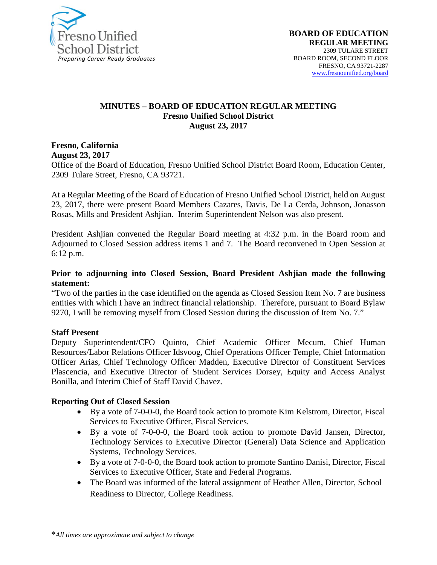

#### **MINUTES – BOARD OF EDUCATION REGULAR MEETING Fresno Unified School District August 23, 2017**

**Fresno, California August 23, 2017** 

Office of the Board of Education, Fresno Unified School District Board Room, Education Center, 2309 Tulare Street, Fresno, CA 93721.

At a Regular Meeting of the Board of Education of Fresno Unified School District, held on August 23, 2017, there were present Board Members Cazares, Davis, De La Cerda, Johnson, Jonasson Rosas, Mills and President Ashjian. Interim Superintendent Nelson was also present.

President Ashjian convened the Regular Board meeting at 4:32 p.m. in the Board room and Adjourned to Closed Session address items 1 and 7. The Board reconvened in Open Session at 6:12 p.m.

#### **Prior to adjourning into Closed Session, Board President Ashjian made the following statement:**

"Two of the parties in the case identified on the agenda as Closed Session Item No. 7 are business entities with which I have an indirect financial relationship. Therefore, pursuant to Board Bylaw 9270, I will be removing myself from Closed Session during the discussion of Item No. 7."

#### **Staff Present**

Deputy Superintendent/CFO Quinto, Chief Academic Officer Mecum, Chief Human Resources/Labor Relations Officer Idsvoog, Chief Operations Officer Temple, Chief Information Officer Arias, Chief Technology Officer Madden, Executive Director of Constituent Services Plascencia, and Executive Director of Student Services Dorsey, Equity and Access Analyst Bonilla, and Interim Chief of Staff David Chavez.

#### **Reporting Out of Closed Session**

- By a vote of 7-0-0-0, the Board took action to promote Kim Kelstrom, Director, Fiscal Services to Executive Officer, Fiscal Services.
- By a vote of 7-0-0-0, the Board took action to promote David Jansen, Director, Technology Services to Executive Director (General) Data Science and Application Systems, Technology Services.
- By a vote of 7-0-0-0, the Board took action to promote Santino Danisi, Director, Fiscal Services to Executive Officer, State and Federal Programs.
- The Board was informed of the lateral assignment of Heather Allen, Director, School Readiness to Director, College Readiness.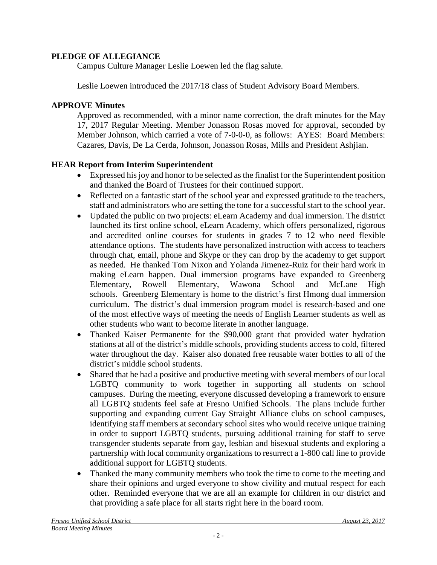#### **PLEDGE OF ALLEGIANCE**

Campus Culture Manager Leslie Loewen led the flag salute.

Leslie Loewen introduced the 2017/18 class of Student Advisory Board Members.

#### **APPROVE Minutes**

Approved as recommended, with a minor name correction, the draft minutes for the May 17, 2017 Regular Meeting. Member Jonasson Rosas moved for approval, seconded by Member Johnson, which carried a vote of 7-0-0-0, as follows: AYES: Board Members: Cazares, Davis, De La Cerda, Johnson, Jonasson Rosas, Mills and President Ashjian.

## **HEAR Report from Interim Superintendent**

- Expressed his joy and honor to be selected as the finalist for the Superintendent position and thanked the Board of Trustees for their continued support.
- Reflected on a fantastic start of the school year and expressed gratitude to the teachers, staff and administrators who are setting the tone for a successful start to the school year.
- Updated the public on two projects: eLearn Academy and dual immersion. The district launched its first online school, eLearn Academy, which offers personalized, rigorous and accredited online courses for students in grades 7 to 12 who need flexible attendance options. The students have personalized instruction with access to teachers through chat, email, phone and Skype or they can drop by the academy to get support as needed. He thanked Tom Nixon and Yolanda Jimenez-Ruiz for their hard work in making eLearn happen. Dual immersion programs have expanded to Greenberg Elementary, Rowell Elementary, Wawona School and McLane High schools. Greenberg Elementary is home to the district's first Hmong dual immersion curriculum. The district's dual immersion program model is research-based and one of the most effective ways of meeting the needs of English Learner students as well as other students who want to become literate in another language.
- Thanked Kaiser Permanente for the \$90,000 grant that provided water hydration stations at all of the district's middle schools, providing students access to cold, filtered water throughout the day. Kaiser also donated free reusable water bottles to all of the district's middle school students.
- Shared that he had a positive and productive meeting with several members of our local LGBTQ community to work together in supporting all students on school campuses. During the meeting, everyone discussed developing a framework to ensure all LGBTQ students feel safe at Fresno Unified Schools. The plans include further supporting and expanding current Gay Straight Alliance clubs on school campuses, identifying staff members at secondary school sites who would receive unique training in order to support LGBTQ students, pursuing additional training for staff to serve transgender students separate from gay, lesbian and bisexual students and exploring a partnership with local community organizations to resurrect a 1-800 call line to provide additional support for LGBTQ students.
- Thanked the many community members who took the time to come to the meeting and share their opinions and urged everyone to show civility and mutual respect for each other. Reminded everyone that we are all an example for children in our district and that providing a safe place for all starts right here in the board room.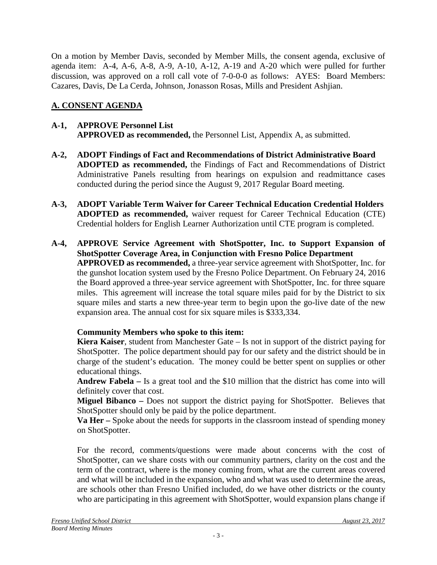On a motion by Member Davis, seconded by Member Mills, the consent agenda, exclusive of agenda item: A-4, A-6, A-8, A-9, A-10, A-12, A-19 and A-20 which were pulled for further discussion, was approved on a roll call vote of 7-0-0-0 as follows: AYES: Board Members: Cazares, Davis, De La Cerda, Johnson, Jonasson Rosas, Mills and President Ashjian.

# **A. CONSENT AGENDA**

#### **A-1, APPROVE Personnel List APPROVED as recommended,** the Personnel List, Appendix A, as submitted.

- **A-2, ADOPT Findings of Fact and Recommendations of District Administrative Board ADOPTED as recommended,** the Findings of Fact and Recommendations of District Administrative Panels resulting from hearings on expulsion and readmittance cases conducted during the period since the August 9, 2017 Regular Board meeting.
- **A-3, ADOPT Variable Term Waiver for Career Technical Education Credential Holders ADOPTED as recommended,** waiver request for Career Technical Education (CTE) Credential holders for English Learner Authorization until CTE program is completed.
- **A-4, APPROVE Service Agreement with ShotSpotter, Inc. to Support Expansion of ShotSpotter Coverage Area, in Conjunction with Fresno Police Department APPROVED as recommended,** a three-year service agreement with ShotSpotter, Inc. for the gunshot location system used by the Fresno Police Department. On February 24, 2016 the Board approved a three-year service agreement with ShotSpotter, Inc. for three square miles. This agreement will increase the total square miles paid for by the District to six square miles and starts a new three-year term to begin upon the go-live date of the new expansion area. The annual cost for six square miles is \$333,334.

# **Community Members who spoke to this item:**

**Kiera Kaiser**, student from Manchester Gate – Is not in support of the district paying for ShotSpotter. The police department should pay for our safety and the district should be in charge of the student's education. The money could be better spent on supplies or other educational things.

**Andrew Fabela –** Is a great tool and the \$10 million that the district has come into will definitely cover that cost.

**Miguel Bibanco –** Does not support the district paying for ShotSpotter. Believes that ShotSpotter should only be paid by the police department.

**Va Her –** Spoke about the needs for supports in the classroom instead of spending money on ShotSpotter.

For the record, comments/questions were made about concerns with the cost of ShotSpotter, can we share costs with our community partners, clarity on the cost and the term of the contract, where is the money coming from, what are the current areas covered and what will be included in the expansion, who and what was used to determine the areas, are schools other than Fresno Unified included, do we have other districts or the county who are participating in this agreement with ShotSpotter, would expansion plans change if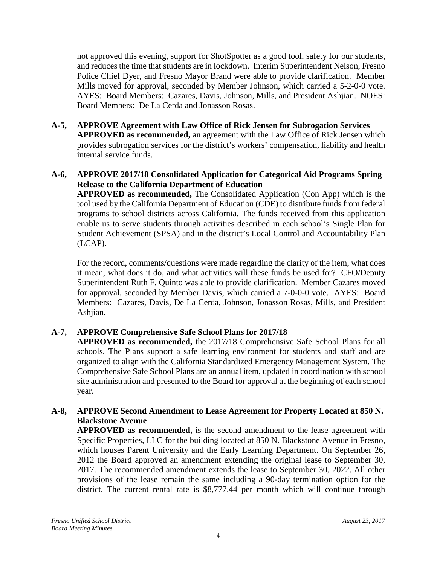not approved this evening, support for ShotSpotter as a good tool, safety for our students, and reduces the time that students are in lockdown. Interim Superintendent Nelson, Fresno Police Chief Dyer, and Fresno Mayor Brand were able to provide clarification. Member Mills moved for approval, seconded by Member Johnson, which carried a 5-2-0-0 vote. AYES: Board Members: Cazares, Davis, Johnson, Mills, and President Ashjian. NOES: Board Members: De La Cerda and Jonasson Rosas.

**A-5, APPROVE Agreement with Law Office of Rick Jensen for Subrogation Services APPROVED as recommended,** an agreement with the Law Office of Rick Jensen which provides subrogation services for the district's workers' compensation, liability and health internal service funds.

## **A-6, APPROVE 2017/18 Consolidated Application for Categorical Aid Programs Spring Release to the California Department of Education**

**APPROVED as recommended,** The Consolidated Application (Con App) which is the tool used by the California Department of Education (CDE) to distribute funds from federal programs to school districts across California. The funds received from this application enable us to serve students through activities described in each school's Single Plan for Student Achievement (SPSA) and in the district's Local Control and Accountability Plan (LCAP).

For the record, comments/questions were made regarding the clarity of the item, what does it mean, what does it do, and what activities will these funds be used for? CFO/Deputy Superintendent Ruth F. Quinto was able to provide clarification. Member Cazares moved for approval, seconded by Member Davis, which carried a 7-0-0-0 vote. AYES: Board Members: Cazares, Davis, De La Cerda, Johnson, Jonasson Rosas, Mills, and President Ashjian.

# **A-7, APPROVE Comprehensive Safe School Plans for 2017/18**

**APPROVED as recommended,** the 2017/18 Comprehensive Safe School Plans for all schools. The Plans support a safe learning environment for students and staff and are organized to align with the California Standardized Emergency Management System. The Comprehensive Safe School Plans are an annual item, updated in coordination with school site administration and presented to the Board for approval at the beginning of each school year.

#### **A-8, APPROVE Second Amendment to Lease Agreement for Property Located at 850 N. Blackstone Avenue**

**APPROVED as recommended,** is the second amendment to the lease agreement with Specific Properties, LLC for the building located at 850 N. Blackstone Avenue in Fresno, which houses Parent University and the Early Learning Department. On September 26, 2012 the Board approved an amendment extending the original lease to September 30, 2017. The recommended amendment extends the lease to September 30, 2022. All other provisions of the lease remain the same including a 90-day termination option for the district. The current rental rate is \$8,777.44 per month which will continue through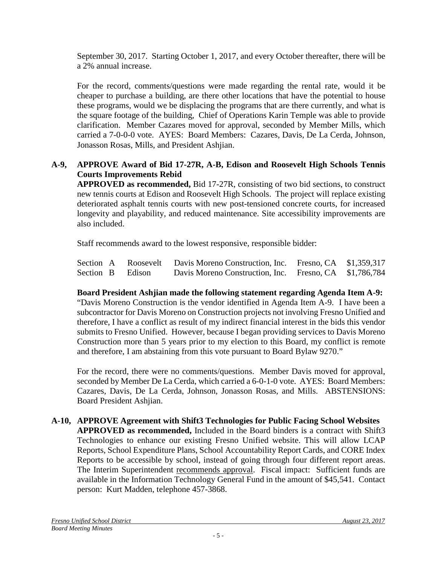September 30, 2017. Starting October 1, 2017, and every October thereafter, there will be a 2% annual increase.

For the record, comments/questions were made regarding the rental rate, would it be cheaper to purchase a building, are there other locations that have the potential to house these programs, would we be displacing the programs that are there currently, and what is the square footage of the building, Chief of Operations Karin Temple was able to provide clarification. Member Cazares moved for approval, seconded by Member Mills, which carried a 7-0-0-0 vote. AYES: Board Members: Cazares, Davis, De La Cerda, Johnson, Jonasson Rosas, Mills, and President Ashjian.

## **A-9, APPROVE Award of Bid 17-27R, A-B, Edison and Roosevelt High Schools Tennis Courts Improvements Rebid**

**APPROVED as recommended,** Bid 17-27R, consisting of two bid sections, to construct new tennis courts at Edison and Roosevelt High Schools. The project will replace existing deteriorated asphalt tennis courts with new post-tensioned concrete courts, for increased longevity and playability, and reduced maintenance. Site accessibility improvements are also included.

Staff recommends award to the lowest responsive, responsible bidder:

|  |                  | Section A Roosevelt Davis Moreno Construction, Inc. Fresno, CA \$1,359,317 |  |
|--|------------------|----------------------------------------------------------------------------|--|
|  | Section B Edison | Davis Moreno Construction, Inc. Fresno, CA \$1,786,784                     |  |

**Board President Ashjian made the following statement regarding Agenda Item A-9:** "Davis Moreno Construction is the vendor identified in Agenda Item A-9. I have been a subcontractor for Davis Moreno on Construction projects not involving Fresno Unified and therefore, I have a conflict as result of my indirect financial interest in the bids this vendor submits to Fresno Unified. However, because I began providing services to Davis Moreno Construction more than 5 years prior to my election to this Board, my conflict is remote and therefore, I am abstaining from this vote pursuant to Board Bylaw 9270."

For the record, there were no comments/questions. Member Davis moved for approval, seconded by Member De La Cerda, which carried a 6-0-1-0 vote. AYES: Board Members: Cazares, Davis, De La Cerda, Johnson, Jonasson Rosas, and Mills. ABSTENSIONS: Board President Ashjian.

**A-10, APPROVE Agreement with Shift3 Technologies for Public Facing School Websites APPROVED as recommended,** Included in the Board binders is a contract with Shift3 Technologies to enhance our existing Fresno Unified website. This will allow LCAP Reports, School Expenditure Plans, School Accountability Report Cards, and CORE Index Reports to be accessible by school, instead of going through four different report areas. The Interim Superintendent recommends approval. Fiscal impact: Sufficient funds are available in the Information Technology General Fund in the amount of \$45,541. Contact person: Kurt Madden, telephone 457-3868.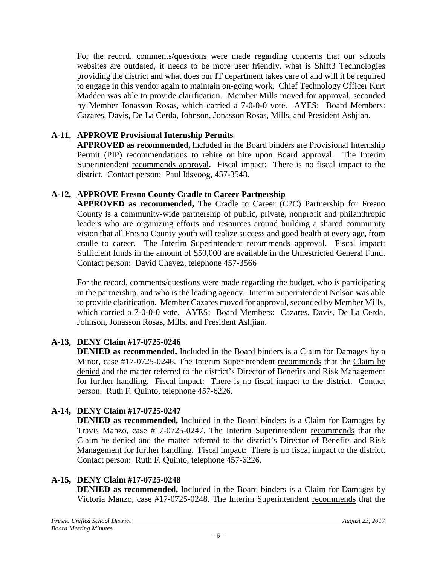For the record, comments/questions were made regarding concerns that our schools websites are outdated, it needs to be more user friendly, what is Shift3 Technologies providing the district and what does our IT department takes care of and will it be required to engage in this vendor again to maintain on-going work. Chief Technology Officer Kurt Madden was able to provide clarification. Member Mills moved for approval, seconded by Member Jonasson Rosas, which carried a 7-0-0-0 vote. AYES: Board Members: Cazares, Davis, De La Cerda, Johnson, Jonasson Rosas, Mills, and President Ashjian.

## **A-11, APPROVE Provisional Internship Permits**

**APPROVED as recommended,** Included in the Board binders are Provisional Internship Permit (PIP) recommendations to rehire or hire upon Board approval. The Interim Superintendent recommends approval. Fiscal impact: There is no fiscal impact to the district. Contact person: Paul Idsvoog, 457-3548.

## **A-12, APPROVE Fresno County Cradle to Career Partnership**

**APPROVED as recommended,** The Cradle to Career (C2C) Partnership for Fresno County is a community-wide partnership of public, private, nonprofit and philanthropic leaders who are organizing efforts and resources around building a shared community vision that all Fresno County youth will realize success and good health at every age, from cradle to career. The Interim Superintendent recommends approval. Fiscal impact: Sufficient funds in the amount of \$50,000 are available in the Unrestricted General Fund. Contact person: David Chavez, telephone 457-3566

For the record, comments/questions were made regarding the budget, who is participating in the partnership, and who is the leading agency. Interim Superintendent Nelson was able to provide clarification. Member Cazares moved for approval, seconded by Member Mills, which carried a 7-0-0-0 vote. AYES: Board Members: Cazares, Davis, De La Cerda, Johnson, Jonasson Rosas, Mills, and President Ashjian.

# **A-13, DENY Claim #17-0725-0246**

**DENIED as recommended,** Included in the Board binders is a Claim for Damages by a Minor, case #17-0725-0246. The Interim Superintendent recommends that the Claim be denied and the matter referred to the district's Director of Benefits and Risk Management for further handling. Fiscal impact: There is no fiscal impact to the district. Contact person: Ruth F. Quinto, telephone 457-6226.

# **A-14, DENY Claim #17-0725-0247**

**DENIED as recommended,** Included in the Board binders is a Claim for Damages by Travis Manzo, case #17-0725-0247. The Interim Superintendent recommends that the Claim be denied and the matter referred to the district's Director of Benefits and Risk Management for further handling. Fiscal impact: There is no fiscal impact to the district. Contact person: Ruth F. Quinto, telephone 457-6226.

## **A-15, DENY Claim #17-0725-0248**

**DENIED as recommended,** Included in the Board binders is a Claim for Damages by Victoria Manzo, case #17-0725-0248. The Interim Superintendent recommends that the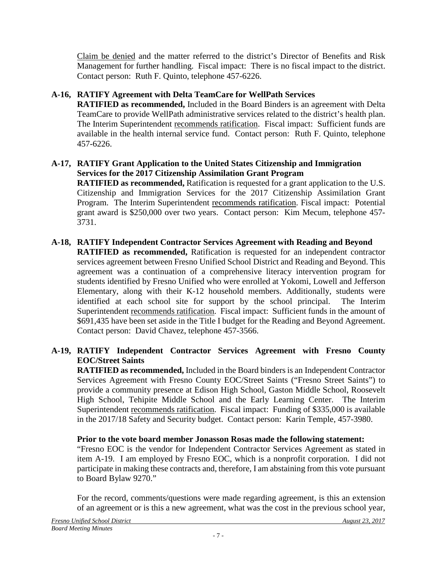Claim be denied and the matter referred to the district's Director of Benefits and Risk Management for further handling. Fiscal impact: There is no fiscal impact to the district. Contact person: Ruth F. Quinto, telephone 457-6226.

# **A-16, RATIFY Agreement with Delta TeamCare for WellPath Services**

**RATIFIED as recommended,** Included in the Board Binders is an agreement with Delta TeamCare to provide WellPath administrative services related to the district's health plan. The Interim Superintendent recommends ratification. Fiscal impact: Sufficient funds are available in the health internal service fund. Contact person: Ruth F. Quinto, telephone 457-6226.

#### **A-17, RATIFY Grant Application to the United States Citizenship and Immigration Services for the 2017 Citizenship Assimilation Grant Program**

**RATIFIED as recommended,** Ratification is requested for a grant application to the U.S. Citizenship and Immigration Services for the 2017 Citizenship Assimilation Grant Program. The Interim Superintendent recommends ratification. Fiscal impact: Potential grant award is \$250,000 over two years. Contact person: Kim Mecum, telephone 457- 3731.

# **A-18, RATIFY Independent Contractor Services Agreement with Reading and Beyond**

**RATIFIED as recommended,** Ratification is requested for an independent contractor services agreement between Fresno Unified School District and Reading and Beyond. This agreement was a continuation of a comprehensive literacy intervention program for students identified by Fresno Unified who were enrolled at Yokomi, Lowell and Jefferson Elementary, along with their K-12 household members. Additionally, students were identified at each school site for support by the school principal. The Interim Superintendent recommends ratification. Fiscal impact: Sufficient funds in the amount of \$691,435 have been set aside in the Title I budget for the Reading and Beyond Agreement. Contact person: David Chavez, telephone 457-3566.

## **A-19, RATIFY Independent Contractor Services Agreement with Fresno County EOC/Street Saints**

**RATIFIED as recommended,** Included in the Board binders is an Independent Contractor Services Agreement with Fresno County EOC/Street Saints ("Fresno Street Saints") to provide a community presence at Edison High School, Gaston Middle School, Roosevelt High School, Tehipite Middle School and the Early Learning Center. The Interim Superintendent recommends ratification. Fiscal impact: Funding of \$335,000 is available in the 2017/18 Safety and Security budget. Contact person: Karin Temple, 457-3980.

## **Prior to the vote board member Jonasson Rosas made the following statement:**

"Fresno EOC is the vendor for Independent Contractor Services Agreement as stated in item A-19. I am employed by Fresno EOC, which is a nonprofit corporation. I did not participate in making these contracts and, therefore, I am abstaining from this vote pursuant to Board Bylaw 9270."

For the record, comments/questions were made regarding agreement, is this an extension of an agreement or is this a new agreement, what was the cost in the previous school year,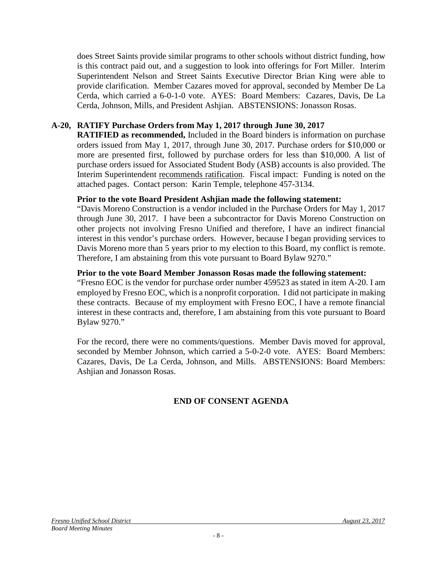does Street Saints provide similar programs to other schools without district funding, how is this contract paid out, and a suggestion to look into offerings for Fort Miller. Interim Superintendent Nelson and Street Saints Executive Director Brian King were able to provide clarification. Member Cazares moved for approval, seconded by Member De La Cerda, which carried a 6-0-1-0 vote. AYES: Board Members: Cazares, Davis, De La Cerda, Johnson, Mills, and President Ashjian. ABSTENSIONS: Jonasson Rosas.

#### **A-20, RATIFY Purchase Orders from May 1, 2017 through June 30, 2017**

**RATIFIED as recommended,** Included in the Board binders is information on purchase orders issued from May 1, 2017, through June 30, 2017. Purchase orders for \$10,000 or more are presented first, followed by purchase orders for less than \$10,000. A list of purchase orders issued for Associated Student Body (ASB) accounts is also provided. The Interim Superintendent recommends ratification. Fiscal impact: Funding is noted on the attached pages. Contact person: Karin Temple, telephone 457-3134.

#### **Prior to the vote Board President Ashjian made the following statement:**

"Davis Moreno Construction is a vendor included in the Purchase Orders for May 1, 2017 through June 30, 2017. I have been a subcontractor for Davis Moreno Construction on other projects not involving Fresno Unified and therefore, I have an indirect financial interest in this vendor's purchase orders. However, because I began providing services to Davis Moreno more than 5 years prior to my election to this Board, my conflict is remote. Therefore, I am abstaining from this vote pursuant to Board Bylaw 9270."

#### **Prior to the vote Board Member Jonasson Rosas made the following statement:**

"Fresno EOC is the vendor for purchase order number 459523 as stated in item A-20. I am employed by Fresno EOC, which is a nonprofit corporation. I did not participate in making these contracts. Because of my employment with Fresno EOC, I have a remote financial interest in these contracts and, therefore, I am abstaining from this vote pursuant to Board Bylaw 9270."

For the record, there were no comments/questions. Member Davis moved for approval, seconded by Member Johnson, which carried a 5-0-2-0 vote. AYES: Board Members: Cazares, Davis, De La Cerda, Johnson, and Mills. ABSTENSIONS: Board Members: Ashjian and Jonasson Rosas.

# **END OF CONSENT AGENDA**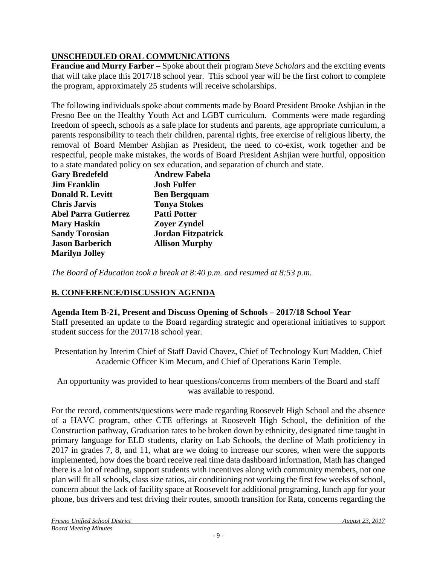# **UNSCHEDULED ORAL COMMUNICATIONS**

**Francine and Murry Farber** – Spoke about their program *Steve Scholars* and the exciting events that will take place this 2017/18 school year. This school year will be the first cohort to complete the program, approximately 25 students will receive scholarships.

The following individuals spoke about comments made by Board President Brooke Ashjian in the Fresno Bee on the Healthy Youth Act and LGBT curriculum. Comments were made regarding freedom of speech, schools as a safe place for students and parents, age appropriate curriculum, a parents responsibility to teach their children, parental rights, free exercise of religious liberty, the removal of Board Member Ashjian as President, the need to co-exist, work together and be respectful, people make mistakes, the words of Board President Ashjian were hurtful, opposition to a state mandated policy on sex education, and separation of church and state.

| <b>Gary Bredefeld</b>       | <b>Andrew Fabela</b>      |
|-----------------------------|---------------------------|
| <b>Jim Franklin</b>         | <b>Josh Fulfer</b>        |
| <b>Donald R. Levitt</b>     | <b>Ben Bergquam</b>       |
| <b>Chris Jarvis</b>         | <b>Tonya Stokes</b>       |
| <b>Abel Parra Gutierrez</b> | <b>Patti Potter</b>       |
| <b>Mary Haskin</b>          | <b>Zoyer Zyndel</b>       |
| <b>Sandy Torosian</b>       | <b>Jordan Fitzpatrick</b> |
| <b>Jason Barberich</b>      | <b>Allison Murphy</b>     |
| <b>Marilyn Jolley</b>       |                           |

*The Board of Education took a break at 8:40 p.m. and resumed at 8:53 p.m.*

# **B. CONFERENCE/DISCUSSION AGENDA**

## **Agenda Item B-21, Present and Discuss Opening of Schools – 2017/18 School Year**

Staff presented an update to the Board regarding strategic and operational initiatives to support student success for the 2017/18 school year.

Presentation by Interim Chief of Staff David Chavez, Chief of Technology Kurt Madden, Chief Academic Officer Kim Mecum, and Chief of Operations Karin Temple.

An opportunity was provided to hear questions/concerns from members of the Board and staff was available to respond.

For the record, comments/questions were made regarding Roosevelt High School and the absence of a HAVC program, other CTE offerings at Roosevelt High School, the definition of the Construction pathway, Graduation rates to be broken down by ethnicity, designated time taught in primary language for ELD students, clarity on Lab Schools, the decline of Math proficiency in 2017 in grades 7, 8, and 11, what are we doing to increase our scores, when were the supports implemented, how does the board receive real time data dashboard information, Math has changed there is a lot of reading, support students with incentives along with community members, not one plan will fit all schools, class size ratios, air conditioning not working the first few weeks of school, concern about the lack of facility space at Roosevelt for additional programing, lunch app for your phone, bus drivers and test driving their routes, smooth transition for Rata, concerns regarding the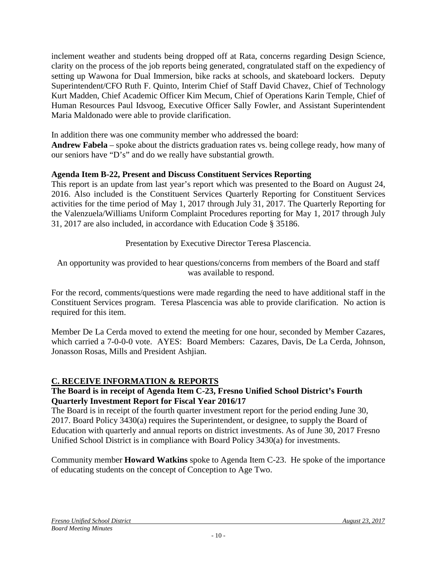inclement weather and students being dropped off at Rata, concerns regarding Design Science, clarity on the process of the job reports being generated, congratulated staff on the expediency of setting up Wawona for Dual Immersion, bike racks at schools, and skateboard lockers. Deputy Superintendent/CFO Ruth F. Quinto, Interim Chief of Staff David Chavez, Chief of Technology Kurt Madden, Chief Academic Officer Kim Mecum, Chief of Operations Karin Temple, Chief of Human Resources Paul Idsvoog, Executive Officer Sally Fowler, and Assistant Superintendent Maria Maldonado were able to provide clarification.

In addition there was one community member who addressed the board:

**Andrew Fabela** – spoke about the districts graduation rates vs. being college ready, how many of our seniors have "D's" and do we really have substantial growth.

## **Agenda Item B-22, Present and Discuss Constituent Services Reporting**

This report is an update from last year's report which was presented to the Board on August 24, 2016. Also included is the Constituent Services Quarterly Reporting for Constituent Services activities for the time period of May 1, 2017 through July 31, 2017. The Quarterly Reporting for the Valenzuela/Williams Uniform Complaint Procedures reporting for May 1, 2017 through July 31, 2017 are also included, in accordance with Education Code § 35186.

Presentation by Executive Director Teresa Plascencia.

An opportunity was provided to hear questions/concerns from members of the Board and staff was available to respond.

For the record, comments/questions were made regarding the need to have additional staff in the Constituent Services program. Teresa Plascencia was able to provide clarification. No action is required for this item.

Member De La Cerda moved to extend the meeting for one hour, seconded by Member Cazares, which carried a 7-0-0-0 vote. AYES: Board Members: Cazares, Davis, De La Cerda, Johnson, Jonasson Rosas, Mills and President Ashjian.

#### **C. RECEIVE INFORMATION & REPORTS**

#### **The Board is in receipt of Agenda Item C-23, Fresno Unified School District's Fourth Quarterly Investment Report for Fiscal Year 2016/17**

The Board is in receipt of the fourth quarter investment report for the period ending June 30, 2017. Board Policy 3430(a) requires the Superintendent, or designee, to supply the Board of Education with quarterly and annual reports on district investments. As of June 30, 2017 Fresno Unified School District is in compliance with Board Policy 3430(a) for investments.

Community member **Howard Watkins** spoke to Agenda Item C-23. He spoke of the importance of educating students on the concept of Conception to Age Two.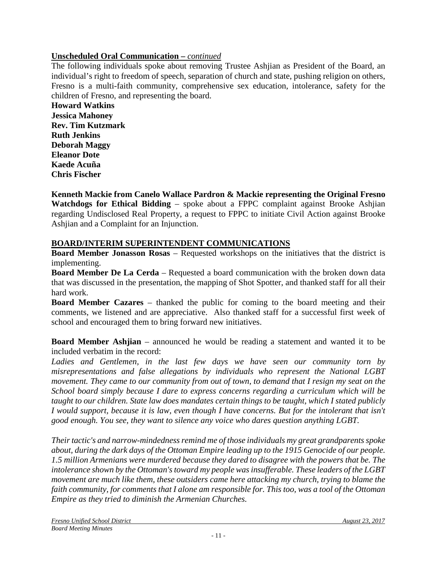## **Unscheduled Oral Communication –** *continued*

The following individuals spoke about removing Trustee Ashjian as President of the Board, an individual's right to freedom of speech, separation of church and state, pushing religion on others, Fresno is a multi-faith community, comprehensive sex education, intolerance, safety for the children of Fresno, and representing the board.

**Howard Watkins Jessica Mahoney Rev. Tim Kutzmark Ruth Jenkins Deborah Maggy Eleanor Dote Kaede Acuña Chris Fischer**

**Kenneth Mackie from Canelo Wallace Pardron & Mackie representing the Original Fresno Watchdogs for Ethical Bidding** – spoke about a FPPC complaint against Brooke Ashjian regarding Undisclosed Real Property, a request to FPPC to initiate Civil Action against Brooke Ashjian and a Complaint for an Injunction.

## **BOARD/INTERIM SUPERINTENDENT COMMUNICATIONS**

**Board Member Jonasson Rosas** – Requested workshops on the initiatives that the district is implementing.

**Board Member De La Cerda** – Requested a board communication with the broken down data that was discussed in the presentation, the mapping of Shot Spotter, and thanked staff for all their hard work.

**Board Member Cazares** – thanked the public for coming to the board meeting and their comments, we listened and are appreciative. Also thanked staff for a successful first week of school and encouraged them to bring forward new initiatives.

**Board Member Ashjian** – announced he would be reading a statement and wanted it to be included verbatim in the record:

Ladies and Gentlemen, in the last few days we have seen our community torn by *misrepresentations and false allegations by individuals who represent the National LGBT movement. They came to our community from out of town, to demand that I resign my seat on the School board simply because I dare to express concerns regarding a curriculum which will be taught to our children. State law does mandates certain things to be taught, which I stated publicly I would support, because it is law, even though I have concerns. But for the intolerant that isn't good enough. You see, they want to silence any voice who dares question anything LGBT.* 

*Their tactic's and narrow-mindedness remind me of those individuals my great grandparents spoke about, during the dark days of the Ottoman Empire leading up to the 1915 Genocide of our people. 1.5 million Armenians were murdered because they dared to disagree with the powers that be. The intolerance shown by the Ottoman's toward my people was insufferable. These leaders of the LGBT movement are much like them, these outsiders came here attacking my church, trying to blame the faith community, for comments that I alone am responsible for. This too, was a tool of the Ottoman Empire as they tried to diminish the Armenian Churches.*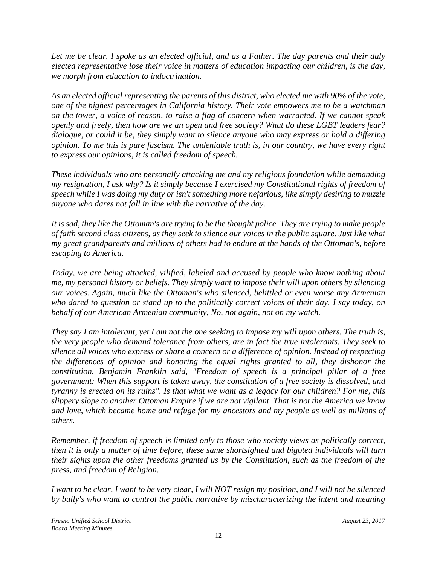*Let me be clear. I spoke as an elected official, and as a Father. The day parents and their duly elected representative lose their voice in matters of education impacting our children, is the day, we morph from education to indoctrination.* 

*As an elected official representing the parents of this district, who elected me with 90% of the vote, one of the highest percentages in California history. Their vote empowers me to be a watchman on the tower, a voice of reason, to raise a flag of concern when warranted. If we cannot speak openly and freely, then how are we an open and free society? What do these LGBT leaders fear? dialogue, or could it be, they simply want to silence anyone who may express or hold a differing opinion. To me this is pure fascism. The undeniable truth is, in our country, we have every right to express our opinions, it is called freedom of speech.* 

*These individuals who are personally attacking me and my religious foundation while demanding my resignation, I ask why? Is it simply because I exercised my Constitutional rights of freedom of speech while I was doing my duty or isn't something more nefarious, like simply desiring to muzzle anyone who dares not fall in line with the narrative of the day.* 

*It is sad, they like the Ottoman's are trying to be the thought police. They are trying to make people of faith second class citizens, as they seek to silence our voices in the public square. Just like what my great grandparents and millions of others had to endure at the hands of the Ottoman's, before escaping to America.* 

*Today, we are being attacked, vilified, labeled and accused by people who know nothing about me, my personal history or beliefs. They simply want to impose their will upon others by silencing our voices. Again, much like the Ottoman's who silenced, belittled or even worse any Armenian who dared to question or stand up to the politically correct voices of their day. I say today, on behalf of our American Armenian community, No, not again, not on my watch.*

*They say I am intolerant, yet I am not the one seeking to impose my will upon others. The truth is, the very people who demand tolerance from others, are in fact the true intolerants. They seek to silence all voices who express or share a concern or a difference of opinion. Instead of respecting the differences of opinion and honoring the equal rights granted to all, they dishonor the constitution. Benjamin Franklin said, "Freedom of speech is a principal pillar of a free government: When this support is taken away, the constitution of a free society is dissolved, and tyranny is erected on its ruins". Is that what we want as a legacy for our children? For me, this slippery slope to another Ottoman Empire if we are not vigilant. That is not the America we know and love, which became home and refuge for my ancestors and my people as well as millions of others.* 

*Remember, if freedom of speech is limited only to those who society views as politically correct, then it is only a matter of time before, these same shortsighted and bigoted individuals will turn their sights upon the other freedoms granted us by the Constitution, such as the freedom of the press, and freedom of Religion.* 

*I want to be clear, I want to be very clear, I will NOT resign my position, and I will not be silenced by bully's who want to control the public narrative by mischaracterizing the intent and meaning*